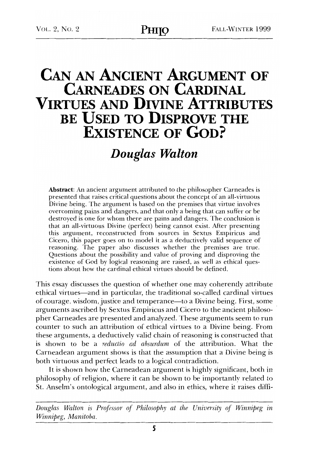# **CAN AN ANCIENT ARGUMENT OF CARNEADES ON CARDINAL VIRTUES AND DIVINE ATTRIBUTES BE USED TO DISPROVE THE EXISTENCE OF GOD?**

## *Douglas Walton*

Abstract: An ancient argument attributed to the philosopher Carneades is presented that raises critical questions about the concept of an all-virtuous Divine being. The argument is based on the premises that virtue involves overcoming pains and dangers, and that only a being that can suffer or be destroyed is one for whom there are pains and dangers. The conclusion is that an all-virtuous Divine (perfect) being cannot exist. After presenting this argument, reconstructed from sources in Sextus Empiricus and Cicero, this paper goes on to model it as a deductively valid sequence of reasoning. The paper also discusses whether the premises are true. Questions about the possihility and value of proving and disproving the existence of God by logical reasoning are raised, as well as ethical questions about how the cardinal ethical virtues should be defined.

This essay discusses the question of whether one may coherently attribute ethical virtues-and in particular, the traditional so-called cardinal virtues of courage, wisdom, justice and temperance—to a Divine being. First, some arguments ascribed by Sextus Empiricus and Cicero to the ancient philosopher Carneades are presented and analyzed. These arguments seem to run counter to such an attribution of ethical virtues to a Divine being. From these arguments, a deductively valid chain of reasoning is constructed that is shown to be a *reductio ad absurdum* of the attribution. What the Carneadean argument shows is that the assumption that a Divine being is both virtuous and perfect leads to a logical contradiction.

It is shown how the Carneadean argument is highly significant, both in philosophy of religion, where it can be shown to be importantly related to St. Anselm's ontological argument, and also in ethics, where it raises diffi-

*Douglas Walton is Professor of Philosophy at the University of Winnipeg in*  $Winnipeg, Manitoba.$ 

s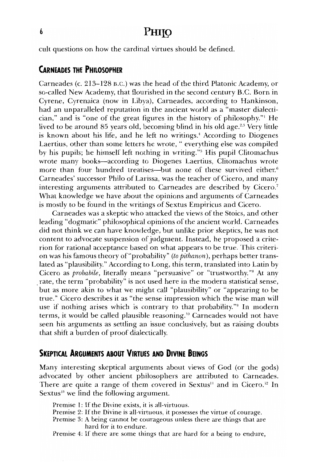### 6 **PHII9**

cult questions on how the cardinal virtues should be defined.

### **CARNEADES THE PHILOSOPHER**

Carneades (c. 213-128 B.C.) was the head of the third Platonic Academy, or so-called New Academy, that flourished in the second century B.C. Born in Cyrene, Cyrenaica (now in Libya), Carneades, according to Hankinson, had an unparalleled reputation in the ancient world as a "master dialectician," and is "one of the great figures in the history of philosophy." He lived to be around 85 years old, becoming blind in his old age. 23 Very little is known about his life, and he left no writings.<sup>4</sup> According to Diogenes Laertius, other than some letters he wrote, " everything else was compiled by his pupils; he himself left nothing in writing."5 His pupil Clitomachus wrote many books-according to Diogenes Laertius, Clitomachus wrote more than four hundred treatises—but none of these survived either.<sup>6</sup> Carneades' successor Philo of Larissa, was the teacher of Cicero, and many interesting arguments attributed to Carneades are described by Cicero.<sup>7</sup> What knowledge we have about the opinions and arguments of Carneades is mostly to be found in the writings of Sextus Empiricus and Cicero.

Carneades was a skeptic who attacked the views of the Stoics, and other leading" dogmatic" philosophical opinions of the ancient world. Carneades did not think we can have knowledge, but unlike prior skeptics, he was not content to advocate suspension of judgment. Instead, he proposed a criterion for rational acceptance based on what appears to be true. This criterion was his famous theory of "probability" *(to pilhanon),* perhaps better translated as "plausibility." According to Long, this term, translated into Latin by Cicero as *probabile,* literally means "persuasive" or "trustworthy.'" At any . rate, the term "probability" is not used here in the modern statistical sense, but as more akin to what we might call "plausibility" or "appearing to be true." Cicero describes it as "the sense impression which the wise man will use if nothing arises which is contrary to that probability."<sup>9</sup> In modern terms, it would be called plausible reasoning.<sup>10</sup> Carneades would not have seen his arguments as settling an issue conclusively, but as raising doubts that shift a burden of proof dialectically.

### **SKEPTICAL ARGUMENTS ABOUT VIRTUES AND DIVINE BEINGS**

Many interesting skeptical arguments about views of God (or the gods) advocated by other ancient philosophers are attributed to Carneades. There are quite a range of them covered in Sextus<sup>11</sup> and in Cicero.<sup>12</sup> In Sextus<sup>13</sup> we find the following argument.

Premise 1: If the Divine exists, it is all-virtuous.

Premise 2: If the Divine is all-virtuous, it possesses the virtue of courage.

Premise 3: A being cannot be courageous unless there are things that are hard for it to endure.

Premise 4: If there are some things that are hard for a being to endure,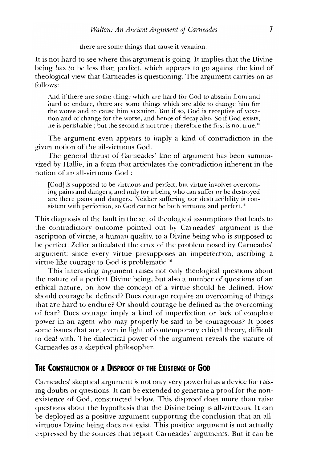#### there are some things that cause it vexation.

It is not hard to see where this argument is going. It implies that the Divine being has to be less than perfect, which appears to go against the kind of theological view that Carneades is questioning. The argument carries on as follows:

And if there are some things which are hard for God to abstain from and hard to endure, there are some things which are able to change him for the worse and to cause him vexation. But if so, God is receptive of vexation and of change for the worse, and hence of decay also. So if God exists, he is perishable; but the second is not true; therefore the first is not true.<sup>14</sup>

The argument even appears to imply a kind of contradiction in the given notion of the all-virtuous God.

The general thrust of Carneades' line of argument has been summarized by Hallie, in a form that articulates the contradiction inherent in the notion of an all-virtuous God:

[God] is supposed to be virtuous and perfect, but virtue involves overcoming pains and dangers, and only for a being who can suffer or be destroyed are there pains and dangers. Neither suflering nor destructibility is consistent with perfection, so God cannot be both virtuous and perfect.<sup>15</sup>

This diagnosis of the fault in the set of theological assumptions that leads to the contradictory outcome pointed out by Carneades' argument is the ascription of virtue, a human quality, to a Divine being who is supposed to be perfect. Zeller articulated the crux of the problem posed by Carneades' argument: since every virtue presupposes an imperfection, ascribing a virtue like courage to God is problematic. <sup>16</sup>

This interesting argument raises not only theological questions about the nature of a perfect Divine being, but also a number of questions of an ethical nature, on how the concept of a virtue should be defined. How should courage be defined? Does courage require an overcoming of things that are hard to endure? Or should courage be defined as the overcoming of tear? Does courage imply a kind of imperfection or lack of complete power in an agent who may properly be said to be courageous? It poses some issues that are, even in light of contemporary ethical theory, difficult to deal with. The dialectical power of the argument reveals the stature of Carneades as a skeptical philosopher.

### **THE CONSTRUCTION OF A DISPROOF OF THE EXISTENCE OF GOD**

Carneades' skeptical argument is not only very powerful as a device for raising doubts or questions. It can be extended to generate a proof for the nonexistence of God, constructed below. This disproof does more than raise questions about the hypothesis that the Divine being is all-virtuous. It can be deployed as a positive argument supporting the conclusion that an allvirtuous Divine being does not exist. This positive argument is not actually expressed by the sources that report Carneades' arguments. But it can be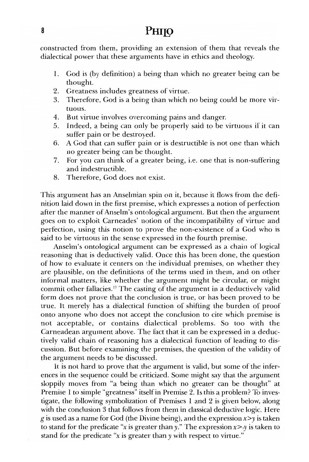### Рнію

constructed from them, providing an extension of them that reveals the dialectical power that these arguments have in ethics and theology.

- 1. God is (by definition) a being than which no greater being can be thought.
- 2. Greatness includes greatness of virtue.
- 3. Therefore, God is a being than which no being could be more virtuous.
- 4. But virtue involves overcoming pains and danger.
- 5. Indeed, a being can only be properly said to be virtuous if it can suffer pain or be destroyed.
- 6. A God that can suffer pain or is destructible is not one than which no greater being can be thought.
- 7. For you can think of a greater being, i.e. one that is non-suffering and indestructible.
- 8. Therefore, God does not exist.

This argument has an Anselmian spin on it, because it flows from the definition laid down in the first premise, which expresses a notion of perfection after the manner of Anselm's ontological argument. But then the argument goes on to exploit Carneades' notion of the incompatibility of virtue and perfection, using this notion to prove the non-existence of a God who is said to be virtuous in the sense expressed in the fourth premise.

Anselm's ontological argument can be expressed as a chain of logical reasoning that is deductively valid. Once this has been done, the question of how to evaluate it centers on the individual premises, on whether they are plausible, on the definitions of the terms used in them, and on other informal matters, like whether the argument might be circular, or might commit other fallacies.<sup>17</sup> The casting of the argument in a deductively valid form does not prove that the conclusion is true, or has been proved to be true. It merely has a dialectical function of shifting the burden of proof onto anyone who does not accept the conclusion to cite which premise is not acceptable, or contains dialectical problems. So too with the Carneadean argument above. The fact that it can be expressed in a deductively valid chain of reasoning has a dialectical function of leading to discussion. But before examining the premises, the question of the validity of the argument needs to be discussed.

It is not hard to prove that the argument is valid, but some of the inferences in the sequence could be criticized. Some might say that the argument sloppily moves from "a being than which no greater can be thought" at Premise 1 to simple "greatness" itselfin Premise 2. Is this a problem? To investigate, the following symbolization of Premises 1 and 2 is given below, along with the conclusion 3 that follows from them in classical deductive logic. Here g is used as a name for God (the Divine being), and the expression *x>y* is taken to stand for the predicate "x is greater than y." The expression  $x > y$  is taken to stand for the predicate *"x* is greater than *y* with respect to virtue."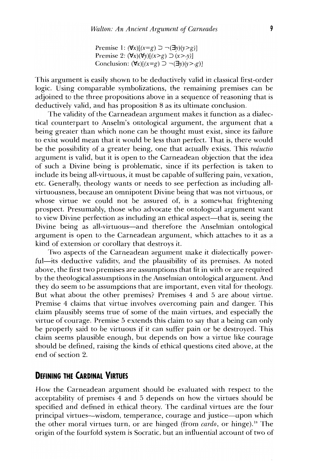Premise 1:  $(\forall x)[(x=g) \supset \neg(\exists y)(y>g)]$ Premise 2:  $(\forall x)(\forall y)[(x>g) \supset (x>_{\nu}y)]$ Conclusion:  $(\forall x)[(x=g) \supset \neg(\exists y)(y>_{\exists} g)]$ 

This argument is easily shown to be deductively valid in classical first-order logic. Using comparable symbolizations, the remaining premises can be adjoined to the three propositions above in a sequence of reasoning that is deductively valid, and has proposition 8 as its ultimate conclusion.

The validity of the Carneadean argument makes it function as a dialectical counterpart to Anselm's ontological argument, the argument that a being greater than which none can be thought must exist, since its failure to exist would mean that it would be less than perfect. That is, there would be the possibility of a greater being, one that actually exists. This *reductio*  argument is valid, but it is open to the Carneadean objection that the idea of such a Divine being is problematic, since if its perfection is taken to include its being all-virtuous, it must be capable of sutlering pain, vexation, etc. Generally, theology wants or needs to see perfection as including allvirtuousness, because an omnipotent Divine being that was not virtuous, or whose virtue we could not be assured of, is a somewhat frightening prospect. Presumably, those who advocate the ontological argument want to view Divine perfection as including an ethical aspect—that is, seeing the Divine being as all-virtuous—and therefore the Anselmian ontological argument is open to the Carneadean argument, which attaches to it as a kind of extension or corollary that destroys it.

Two aspects of the Carneadean argument make it dialectically powerful-its deductive validity, and the plausibility of its premises. As noted above, the first two premises are assumptions that fit in with or are required by the theological assumptions in the Anselmian ontological argument. And they do seem to be assumptions that are important, even vital for theology. But what about the other premises? Premises 4 and 5 are about virtue. Premise 4 claims that virtue involves overcoming pain and danger. This claim plausibly seems true of some of the main virtues, and especially the virtue of courage. Premise 5 extends this claim to say that a being can only be properly said to be virtuous if it can suffer pain or be destroyed. This claim seems plausible enough, but depends on how a virtue like courage should be defined, raising the kinds of ethical questions cited above, at the end of section 2.

### **DEFINING THE CARDINAL VIRTUES**

How the Carneadean argument should be evaluated with respect to the acceptability of premises 4 and 5 depends on how the virtues should be specified and defined in ethical theory. The cardinal virtues are the four principal virtues-wisdom, temperance, courage and justice-upon which the other moral virtues turn, or are hinged (from *cardo*, or hinge).<sup>18</sup> The origin of the fourfold system is Socratic, but an influential account of two of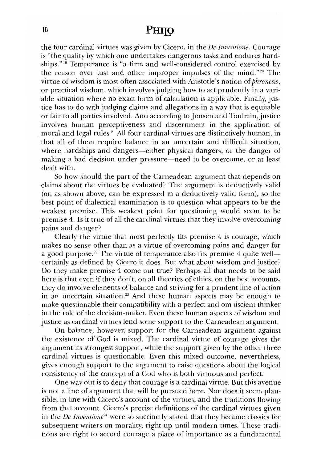### **10 PHII9**

the four cardinal virtues was given by Cicero, in the *De Inventione.* Courage is "the quality by which one undertakes dangerous tasks and endures hardships."<sup>19</sup> Temperance is "a firm and well-considered control exercised by the reason over lust and other improper impulses of the mind."20 The virtue of wisdom is most often associated with Aristotle's notion of *phronesis*, or practical wisdom, which involves judging how to act prudently in a variable situation where no exact form of calculation is applicable. Finally, justice has to do with judging claims and allegations in a way that is equitable or fair to all parties involved. And according to Jonsen and Toulmin, justice involves human perceptiveness and discernment in the application of moral and legal rules.<sup>21</sup> All four cardinal virtues are distinctively human, in . that all of them require balance in an uncertain and difficult situation, where hardships and dangers-either physical dangers, or the danger of making a bad decision under pressure—need to be overcome, or at least dealt with.

So how should the part of the Carneadean argument that depends on claims about the virtues be evaluated? The argument is deductively valid (or, as shown above, can be expressed in a deductively valid form), so the best point of dialectical examination is to question what appears to be the weakest premise. This weakest point for questioning would seem to be premise 4. Is it true of all the cardinal virtues that they involve overcoming pains and danger?

Clearly the virtue that most perfectly fits premise 4 is courage, which makes no sense other than as a virtue of overcoming pains and danger for a good purpose.<sup>22</sup> The virtue of temperance also fits premise 4 quite well certainly as defined by Cicero it does. But what about wisdom and justice? Do they make premise 4 come out true? Perhaps all that needs to be said here is that even if they don't, on all theories of ethics, on the best accounts, they do involve elements of balance and striving for a prudent line of action in an uncertain situation.<sup>23</sup> And these human aspects may be enough to make questionable their compatibility with a perfect and om liscient thinker in the role of the decision-maker. Even these human aspects of wisdom and justice as cardinal virtues lend some support to the Carneadean argument.

On balance, however, support for the Carneadean argument against the existence of God is mixed. The cardinal virtue of courage gives the argument its strongest support, while the support given by the other three cardinal virtues is questionable. Even this mixed outcome, nevertheless, gives enough support to the argument to raise questions about the logical consistency of the concept of a God who is both virtuous and perfect.

One way out is to deny that courage is a cardinal virtue. But this avenue is not a line of argument that will be pursued here. Nor does it seem plausible, in line with Cicero's account of the virtues, and the traditions flowing from that account. Cicero's precise definitions of the cardinal virtues given in the *De Inventione24* were so succinctly stated that they became classics for subsequent writers on morality, right up until modern times. These traditions are right to accord courage a place of importance as a fundamental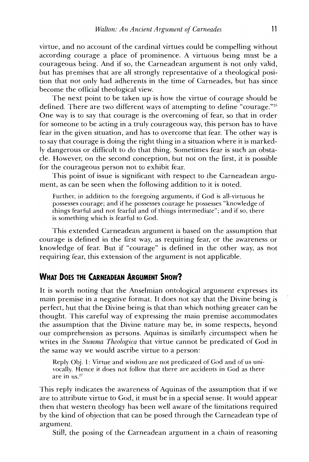virtue, and no account of the cardinal virtues could be compelling without according courage a place of prominence. A virtuous being must be a courageous being. And if so, the Carneadean argument is not only valid, but has premises that are all strongly representative of a theological position that not only had adherents in the time of Carneades, but has since become the official theological view.

The next point to be taken up is how the virtue of courage should be defined. There are two different ways of attempting to define "courage."<sup>25</sup> One way is to say that courage is the overcoming of fear, so that in order for someone to be acting in a truly courageous way, this person has to have fear in the given situation, and has to overcome that fear. The other way is to say that courage is doing the right thing in a situation where it is markedly dangerous or diflicult to do that thing. Sometimes fear is such an obstacle. However, on the second conception, but not on the first, it is possible for the courageous person not to exhibit fear.

This point of issue is significant with respect to the Carneadean argument, as can be seen when the following addition to it is noted.

Further, in addition to the foregoing arguments, if God is all-virtuous he possesses courage; and if he possesses courage he possesses "knowledge of things fearful and not fearful and of things intermediate"; and if so, there is something which is fearful to God.

This extended Carneadean argument is based on the assumption that courage is defined in the first way, as requiring fear, or the awareness or knowledge of fear. But if "courage" is defined in the other way, as not requiring fear, this extension of the argument is not applicable.

### **WHAT DOES THE CARNEADEAN ARGUMENT SHOW?**

It is worth noting that the Anselmian ontological argument expresses its main premise in a negative format. It does not say that the Divine being is perfect, but that the Divine being is that than which nothing greater can be thought. This careful way of expressing the main premise accommodates the assumption that the Divine nature may be, in some respects, beyond our comprehension as persons. Aquinas is similarly circumspect when he writes in the *Summa Theologica* that virtue cannot be predicated of God in the same way we would ascribe virtue to a person:

Reply Obj. 1: Virtue and wisdom are not predicated of God and of us univocally. Hence it does not follow that there are accidents in God as there are in us.<sup>27</sup>

This reply indicates the awareness of Aquinas of the assumption that if we are to attribute virtue to God, it must be in a special sense. It would appear then that western theology has been well aware of the limitations required by the kind of objection that can be posed through the Carneadean type of argument.

Still, the posing of the Carneadean argument in a chain of reasoning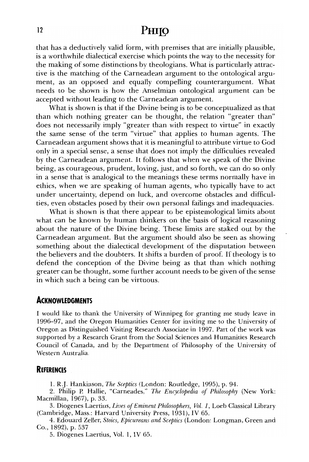### <sup>12</sup> PHIIO

that has a deductively valid form, with premises that are initially plausible, is a worthwhile dialectical exercise which points the way to the necessity for the making of some distinctions by theologians. What is particularly attractive is the matching of the Carneadean argument to the ontological argument, as an opposed and equally compelling counterargument. What needs to be shown is how the Anselmian ontological argument can be accepted without leading to the Carneadean argument.

What is shown is that if the Divine being is to be conceptualized as that than which nothing greater can be thought, the relation "greater than" does not necessarily imply "greater than with respect to virtue" in exactly the same sense of the term "virtue" that applies to human agents. The Carneadean argument shows that it is meaningful to attribute virtue to God only in a special sense, a sense that does not imply the difficulties revealed by the Carneadean argument. It follows that when we speak of the Divine being, as courageous, prudent, loving, just, and so forth, we can do so only in a sense that is analogical to the meanings these terms normally have in ethics, when we are speaking of human agents, who typically have to act under uncertainty, depend on luck, and overcome obstacles and difficulties, even obstacles posed by their own personal failings and inadequacies.

What is shown is that there appear to be epistemological limits about what can be known by human thinkers on the basis of logical reasoning about the nature of the Divine being. These limits are staked out by the Carneadean argument. But the argument should also be seen as showing something about the dialectical development of the disputation between the believers and the doubters. It shifts a burden of proof. If theology is to defend the conception of the Divine being as that than which nothing greater can be thought, some further account needs to be given of the sense in which such a being can be virtuous.

#### **ACKNOWLEDGMENTS**

I would like to thank the University of Winnipeg for granting me study leave in 1996-97, and the Oregon Humanities. Center for inviting me to the University of Oregon as Distinguished Visiting Research Associate in 1997. Part of the work was supported by a Research Grant from the Social Sciences and Humanities Research Council of Canada, and by the Department of Philosophy of the University of Western Australia.

#### **REFERENCES**

1. R.J. Hankinson, *The Sceptics* (London: Routledge, 1995), p. 94.

2. Philip P. Hallie, "Carneades," *The Encyclopedia oj Philosophy* (New York: Macmillan, 1967), p. 33.

3. Diogenes Laertius, *Lives of Eminent Philosophers, Vol. 1,* Loeb Classical Library (Cambridge, Mass.: Harvard University Press, 1931), IV 65.

4. Edouard Zeller, *Stoics, Epicureans and Sceptics* (London: Longman, Green and Co., 1892), p. 537

5. Diogenes Laertius, Vol. 1, IV 65.